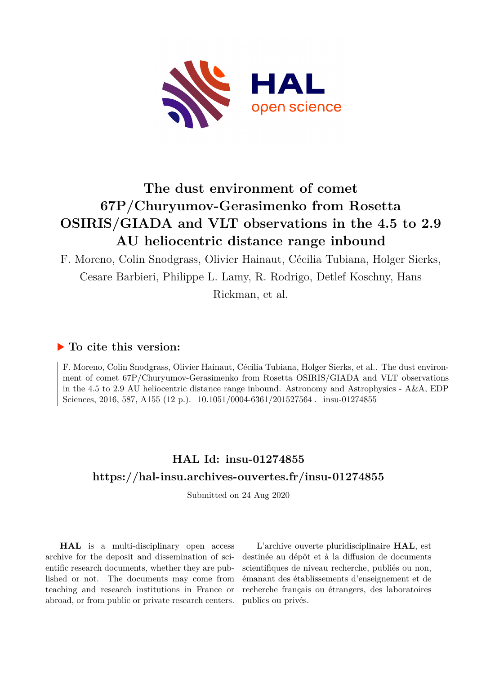

# **The dust environment of comet 67P/Churyumov-Gerasimenko from Rosetta OSIRIS/GIADA and VLT observations in the 4.5 to 2.9 AU heliocentric distance range inbound**

F. Moreno, Colin Snodgrass, Olivier Hainaut, Cécilia Tubiana, Holger Sierks, Cesare Barbieri, Philippe L. Lamy, R. Rodrigo, Detlef Koschny, Hans Rickman, et al.

# **To cite this version:**

F. Moreno, Colin Snodgrass, Olivier Hainaut, Cécilia Tubiana, Holger Sierks, et al.. The dust environment of comet 67P/Churyumov-Gerasimenko from Rosetta OSIRIS/GIADA and VLT observations in the 4.5 to 2.9 AU heliocentric distance range inbound. Astronomy and Astrophysics - A&A, EDP Sciences, 2016, 587, A155 (12 p.).  $10.1051/0004-6361/201527564$ . insu-01274855

# **HAL Id: insu-01274855 <https://hal-insu.archives-ouvertes.fr/insu-01274855>**

Submitted on 24 Aug 2020

**HAL** is a multi-disciplinary open access archive for the deposit and dissemination of scientific research documents, whether they are published or not. The documents may come from teaching and research institutions in France or abroad, or from public or private research centers.

L'archive ouverte pluridisciplinaire **HAL**, est destinée au dépôt et à la diffusion de documents scientifiques de niveau recherche, publiés ou non, émanant des établissements d'enseignement et de recherche français ou étrangers, des laboratoires publics ou privés.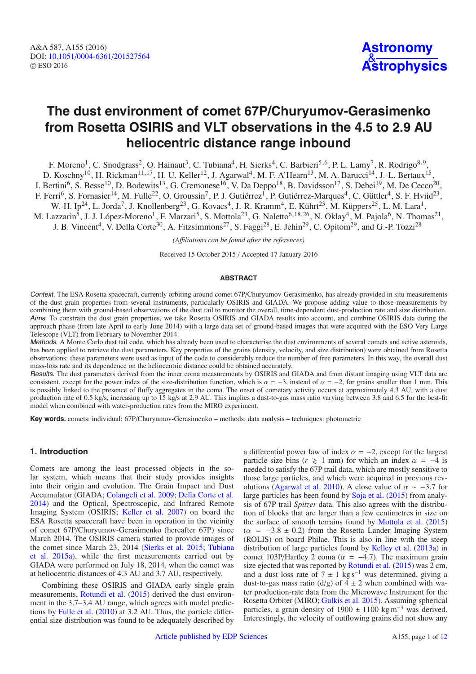# **The dust environment of comet 67P/Churyumov-Gerasimenko from Rosetta OSIRIS and VLT observations in the 4.5 to 2.9 AU heliocentric distance range inbound**

F. Moreno<sup>1</sup>, C. Snodgrass<sup>2</sup>, O. Hainaut<sup>3</sup>, C. Tubiana<sup>4</sup>, H. Sierks<sup>4</sup>, C. Barbieri<sup>5,6</sup>, P. L. Lamy<sup>7</sup>, R. Rodrigo<sup>8,9</sup>, D. Koschny<sup>10</sup>, H. Rickman<sup>11,17</sup>, H. U. Keller<sup>12</sup>, J. Agarwal<sup>4</sup>, M. F. A'Hearn<sup>13</sup>, M. A. Barucci<sup>14</sup>, J.-L. Bertaux<sup>15</sup>, I. Bertini<sup>6</sup>, S. Besse<sup>10</sup>, D. Bodewits<sup>13</sup>, G. Cremonese<sup>16</sup>, V. Da Deppo<sup>18</sup>, B. Davidsson<sup>17</sup>, S. Debei<sup>19</sup>, M. De Cecco<sup>20</sup>, F. Ferri<sup>6</sup>, S. Fornasier<sup>14</sup>, M. Fulle<sup>22</sup>, O. Groussin<sup>7</sup>, P. J. Gutiérrez<sup>1</sup>, P. Gutiérrez-Marques<sup>4</sup>, C. Güttler<sup>4</sup>, S. F. Hviid<sup>23</sup>, W.-H. Ip<sup>24</sup>, L. Jorda<sup>7</sup>, J. Knollenberg<sup>23</sup>, G. Kovacs<sup>4</sup>, J.-R. Kramm<sup>4</sup>, E. Kührt<sup>23</sup>, M. Küppers<sup>25</sup>, L. M. Lara<sup>1</sup>,

M. Lazzarin<sup>5</sup>, J. J. López-Moreno<sup>1</sup>, F. Marzari<sup>5</sup>, S. Mottola<sup>23</sup>, G. Naletto<sup>6,18,26</sup>, N. Oklay<sup>4</sup>, M. Pajola<sup>6</sup>, N. Thomas<sup>21</sup>, J. B. Vincent<sup>4</sup>, V. Della Corte<sup>30</sup>, A. Fitzsimmons<sup>27</sup>, S. Faggi<sup>28</sup>, E. Jehin<sup>29</sup>, C. Opitom<sup>29</sup>, and G.-P. Tozzi<sup>28</sup>

*(A*ffi*liations can be found after the references)*

Received 15 October 2015 / Accepted 17 January 2016

### **ABSTRACT**

Context. The ESA Rosetta spacecraft, currently orbiting around comet 67P/Churyumov-Gerasimenko, has already provided in situ measurements of the dust grain properties from several instruments, particularly OSIRIS and GIADA. We propose adding value to those measurements by combining them with ground-based observations of the dust tail to monitor the overall, time-dependent dust-production rate and size distribution. Aims. To constrain the dust grain properties, we take Rosetta OSIRIS and GIADA results into account, and combine OSIRIS data during the approach phase (from late April to early June 2014) with a large data set of ground-based images that were acquired with the ESO Very Large Telescope (VLT) from February to November 2014.

Methods. A Monte Carlo dust tail code, which has already been used to characterise the dust environments of several comets and active asteroids, has been applied to retrieve the dust parameters. Key properties of the grains (density, velocity, and size distribution) were obtained from Rosetta observations: these parameters were used as input of the code to considerably reduce the number of free parameters. In this way, the overall dust mass-loss rate and its dependence on the heliocentric distance could be obtained accurately.

Results. The dust parameters derived from the inner coma measurements by OSIRIS and GIADA and from distant imaging using VLT data are consistent, except for the power index of the size-distribution function, which is  $\alpha = -3$ , instead of  $\alpha = -2$ , for grains smaller than 1 mm. This is possibly linked to the presence of fluffy aggregates in the coma. The onset of cometary activity occurs at approximately 4.3 AU, with a dust production rate of 0.5 kg/s, increasing up to 15 kg/s at 2.9 AU. This implies a dust-to-gas mass ratio varying between 3.8 and 6.5 for the best-fit model when combined with water-production rates from the MIRO experiment.

**Key words.** comets: individual: 67P/Churyumov-Gerasimenko – methods: data analysis – techniques: photometric

## **1. Introduction**

Comets are among the least processed objects in the solar system, which means that their study provides insights into their origin and evolution. The Grain Impact and Dust Accumulator (GIADA; Colangeli et al. 2009; Della Corte et al. 2014) and the Optical, Spectroscopic, and Infrared Remote Imaging System (OSIRIS; Keller et al. 2007) on board the ESA Rosetta spacecraft have been in operation in the vicinity of comet 67P/Churyumov-Gerasimenko (hereafter 67P) since March 2014. The OSIRIS camera started to provide images of the comet since March 23, 2014 (Sierks et al. 2015; Tubiana et al. 2015a), while the first measurements carried out by GIADA were performed on July 18, 2014, when the comet was at heliocentric distances of 4.3 AU and 3.7 AU, respectively.

Combining these OSIRIS and GIADA early single grain measurements, Rotundi et al. (2015) derived the dust environment in the 3.7–3.4 AU range, which agrees with model predictions by Fulle et al. (2010) at 3.2 AU. Thus, the particle differential size distribution was found to be adequately described by a differential power law of index  $\alpha = -2$ , except for the largest particle size bins ( $r \ge 1$  mm) for which an index  $\alpha = -4$  is<br>needed to satisfy the 67P trail data which are mostly sensitive to needed to satisfy the 67P trail data, which are mostly sensitive to those large particles, and which were acquired in previous revolutions (Agarwal et al. 2010). A close value of  $\alpha \sim -3.7$  for large particles has been found by Soja et al. (2015) from analysis of 67P trail *Spitzer* data. This also agrees with the distribution of blocks that are larger than a few centimetres in size on the surface of smooth terrains found by Mottola et al. (2015)  $(\alpha = -3.8 \pm 0.2)$  from the Rosetta Lander Imaging System (ROLIS) on board Philae. This is also in line with the steep distribution of large particles found by Kelley et al. (2013a) in comet 103P/Hartley 2 coma ( $\alpha = -4.7$ ). The maximum grain size ejected that was reported by Rotundi et al. (2015) was 2 cm, and a dust loss rate of  $7 \pm 1$  kg s<sup>-1</sup> was determined, giving a dust-to-gas mass ratio (d/g) of  $4 \pm 2$  when combined with water production-rate data from the Microwave Instrument for the Rosetta Orbiter (MIRO; Gulkis et al. 2015). Assuming spherical particles, a grain density of 1900 ± 1100 kg m−<sup>3</sup> was derived. Interestingly, the velocity of outflowing grains did not show any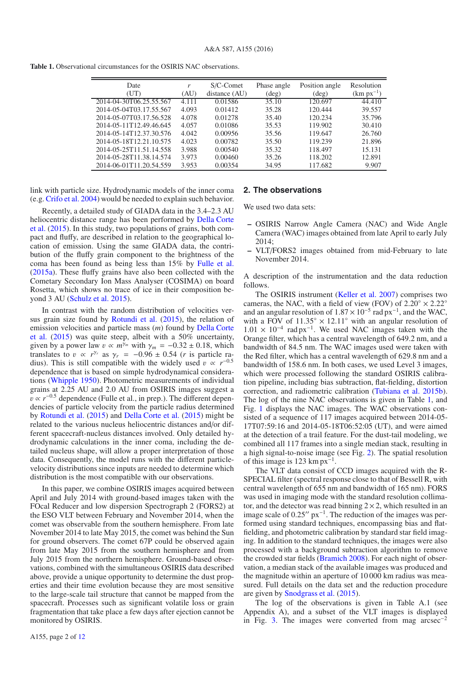**Table 1.** Observational circumstances for the OSIRIS NAC observations.

| Date<br>(UT)            | r<br>(AU) | S/C-Comet<br>distance (AU) | Phase angle<br>$(\text{deg})$ | Position angle<br>$(\text{deg})$ | Resolution<br>$(km px^{-1})$ |
|-------------------------|-----------|----------------------------|-------------------------------|----------------------------------|------------------------------|
| 2014-04-30T06.25.55.567 | 4.111     | 0.01586                    | 35.10                         | 120.697                          | 44.410                       |
| 2014-05-04T03.17.55.567 | 4.093     | 0.01412                    | 35.28                         | 120.444                          | 39.557                       |
| 2014-05-07T03.17.56.528 | 4.078     | 0.01278                    | 35.40                         | 120.234                          | 35.796                       |
| 2014-05-11T12.49.46.645 | 4.057     | 0.01086                    | 35.53                         | 119.902                          | 30.410                       |
| 2014-05-14T12.37.30.576 | 4.042     | 0.00956                    | 35.56                         | 119.647                          | 26.760                       |
| 2014-05-18T12.21.10.575 | 4.023     | 0.00782                    | 35.50                         | 119.239                          | 21.896                       |
| 2014-05-25T11.51.14.558 | 3.988     | 0.00540                    | 35.32                         | 118.497                          | 15.131                       |
| 2014-05-28T11.38.14.574 | 3.973     | 0.00460                    | 35.26                         | 118.202                          | 12.891                       |
| 2014-06-01T11.20.54.559 | 3.953     | 0.00354                    | 34.95                         | 117.682                          | 9.907                        |

link with particle size. Hydrodynamic models of the inner coma (e.g. Crifo et al. 2004) would be needed to explain such behavior.

Recently, a detailed study of GIADA data in the 3.4–2.3 AU heliocentric distance range has been performed by Della Corte et al. (2015). In this study, two populations of grains, both compact and fluffy, are described in relation to the geographical location of emission. Using the same GIADA data, the contribution of the fluffy grain component to the brightness of the coma has been found as being less than 15% by Fulle et al. (2015a). These fluffy grains have also been collected with the Cometary Secondary Ion Mass Analyser (COSIMA) on board Rosetta, which shows no trace of ice in their composition beyond 3 AU (Schulz et al. 2015).

In contrast with the random distribution of velocities versus grain size found by Rotundi et al. (2015), the relation of emission velocities and particle mass (*m*) found by Della Corte et al. (2015) was quite steep, albeit with a 50% uncertainty, given by a power law  $v \propto m^{\gamma_m}$  with  $\gamma_m = -0.32 \pm 0.18$ , which translates to  $v \propto r^{\gamma_r}$  as  $\gamma_r = -0.96 \pm 0.54$  (*r* is particle radius). This is still compatible with the widely used  $v \propto r^{-0.5}$ dependence that is based on simple hydrodynamical considerations (Whipple 1950). Photometric measurements of individual grains at 2.25 AU and 2.0 AU from OSIRIS images suggest a  $v \propto r^{-0.5}$  dependence (Fulle et al., in prep.). The different dependencies of particle velocity from the particle radius determined by Rotundi et al. (2015) and Della Corte et al. (2015) might be related to the various nucleus heliocentric distances and/or different spacecraft-nucleus distances involved. Only detailed hydrodynamic calculations in the inner coma, including the detailed nucleus shape, will allow a proper interpretation of those data. Consequently, the model runs with the different particlevelocity distributions since inputs are needed to determine which distribution is the most compatible with our observations.

In this paper, we combine OSIRIS images acquired between April and July 2014 with ground-based images taken with the FOcal Reducer and low dispersion Spectrograph 2 (FORS2) at the ESO VLT between February and November 2014, when the comet was observable from the southern hemisphere. From late November 2014 to late May 2015, the comet was behind the Sun for ground observers. The comet 67P could be observed again from late May 2015 from the southern hemisphere and from July 2015 from the northern hemisphere. Ground-based observations, combined with the simultaneous OSIRIS data described above, provide a unique opportunity to determine the dust properties and their time evolution because they are most sensitive to the large-scale tail structure that cannot be mapped from the spacecraft. Processes such as significant volatile loss or grain fragmentation that take place a few days after ejection cannot be monitored by OSIRIS.

### **2. The observations**

We used two data sets:

- **–** OSIRIS Narrow Angle Camera (NAC) and Wide Angle Camera (WAC) images obtained from late April to early July 2014;
- **–** VLT/FORS2 images obtained from mid-February to late November 2014.

A description of the instrumentation and the data reduction follows.

The OSIRIS instrument (Keller et al. 2007) comprises two cameras, the NAC, with a field of view (FOV) of  $2.20^\circ \times 2.22^\circ$ and an angular resolution of  $1.87 \times 10^{-5}$  rad px<sup>-1</sup>, and the WAC, with a FOV of  $11.35^{\circ} \times 12.11^{\circ}$  with an angular resolution of with a FOV of  $11.35° \times 12.11°$  with an angular resolution of  $1.01 \times 10^{-4}$  rad px<sup>-1</sup>. We used NAC images taken with the  $1.01 \times 10^{-4}$  rad px<sup>-1</sup>. We used NAC images taken with the Orange filter which has a central wavelength of 649.2 nm, and a Orange filter, which has a central wavelength of 649.2 nm, and a bandwidth of 84.5 nm. The WAC images used were taken with the Red filter, which has a central wavelength of 629.8 nm and a bandwidth of 158.6 nm. In both cases, we used Level 3 images, which were processed following the standard OSIRIS calibration pipeline, including bias subtraction, flat-fielding, distortion correction, and radiometric calibration (Tubiana et al. 2015b). The log of the nine NAC observations is given in Table 1, and Fig. 1 displays the NAC images. The WAC observations consisted of a sequence of 117 images acquired between 2014-05- 17T07:59:16 and 2014-05-18T06:52:05 (UT), and were aimed at the detection of a trail feature. For the dust-tail modeling, we combined all 117 frames into a single median stack, resulting in a high signal-to-noise image (see Fig. 2). The spatial resolution of this image is 123 km  $px^{-1}$ .

The VLT data consist of CCD images acquired with the R-SPECIAL filter (spectral response close to that of Bessell R, with central wavelength of 655 nm and bandwidth of 165 nm). FORS was used in imaging mode with the standard resolution collimator, and the detector was read binning  $2 \times 2$ , which resulted in an image scale of  $0.25''$  px<sup>-1</sup>. The reduction of the images was performed using standard techniques, encompassing bias and flatfielding, and photometric calibration by standard star field imaging. In addition to the standard techniques, the images were also processed with a background subtraction algorithm to remove the crowded star fields (Bramich 2008). For each night of observation, a median stack of the available images was produced and the magnitude within an aperture of 10 000 km radius was measured. Full details on the data set and the reduction procedure are given by Snodgrass et al. (2015).

The log of the observations is given in Table A.1 (see Appendix A), and a subset of the VLT images is displayed in Fig. 3. The images were converted from mag arcsec<sup>−</sup>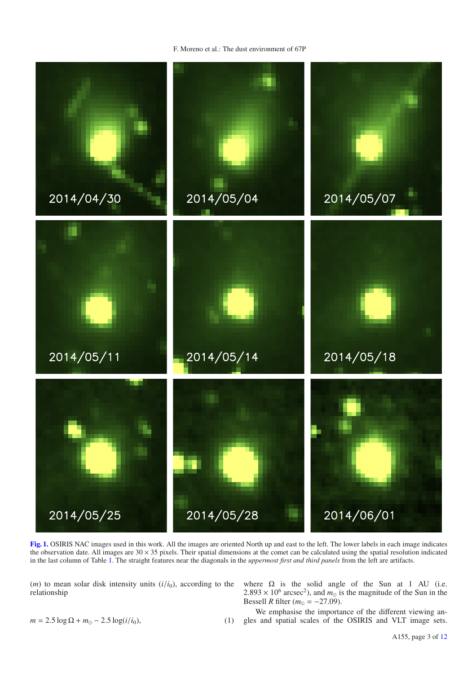F. Moreno et al.: The dust environment of 67P



**[Fig. 1.](http://dexter.edpsciences.org/applet.php?DOI=10.1051/0004-6361/201527564&pdf_id=1)** OSIRIS NAC images used in this work. All the images are oriented North up and east to the left. The lower labels in each image indicates the observation date. All images are  $30 \times 35$  pixels. Their spatial dimensions at the comet can be calculated using the spatial resolution indicated in the last column of Table 1. The straight features near the diagonals in the *uppermost first and third panels* from the left are artifacts.

 $(m)$  to mean solar disk intensity units  $(i/i<sub>0</sub>)$ , according to the relationship

where  $\Omega$  is the solid angle of the Sun at 1 AU (i.e. 2.893 × 10<sup>6</sup> arcsec<sup>2</sup>), and  $m_0$  is the magnitude of the Sun in the Bessell R filter ( $m_0 = -27.09$ ) Bessell *R* filter  $(m_{\odot} = -27.09)$ .

 $m = 2.5 \log \Omega + m_{\odot} - 2.5 \log(i/i_0),$  (1) We emphasise the importance of the different viewing angles and spatial scales of the OSIRIS and VLT image sets.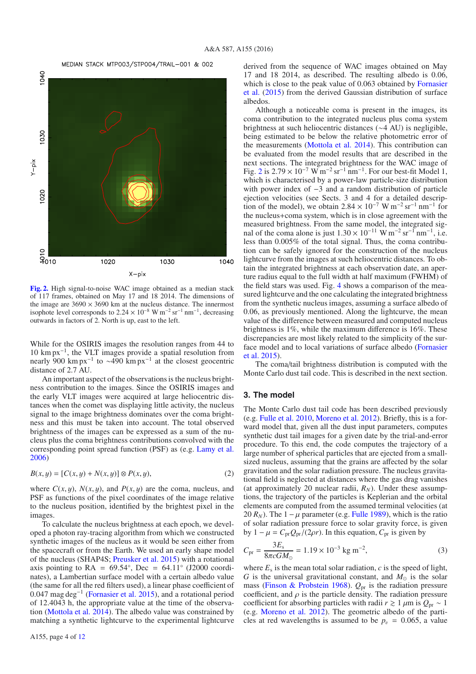#### MEDIAN STACK MTP003/STP004/TRAIL-001 & 002



**[Fig. 2.](http://dexter.edpsciences.org/applet.php?DOI=10.1051/0004-6361/201527564&pdf_id=2)** High signal-to-noise WAC image obtained as a median stack of 117 frames, obtained on May 17 and 18 2014. The dimensions of the image are  $3690 \times 3690$  km at the nucleus distance. The innermost isophote level corresponds to  $2.24 \times 10^{-8}$  W m<sup>-2</sup> sr<sup>-1</sup> nm<sup>-1</sup>, decreasing outwards in factors of 2. North is up, east to the left.

While for the OSIRIS images the resolution ranges from 44 to 10 km px−1, the VLT images provide a spatial resolution from nearly 900 km px<sup>-1</sup> to ~490 km px<sup>-1</sup> at the closest geocentric distance of 2.7 AU.

An important aspect of the observations is the nucleus brightness contribution to the images. Since the OSIRIS images and the early VLT images were acquired at large heliocentric distances when the comet was displaying little activity, the nucleus signal to the image brightness dominates over the coma brightness and this must be taken into account. The total observed brightness of the images can be expressed as a sum of the nucleus plus the coma brightness contributions convolved with the corresponding point spread function (PSF) as (e.g. Lamy et al. 2006)

$$
B(x, y) = [C(x, y) + N(x, y)] \otimes P(x, y),
$$
 (2)

where  $C(x, y)$ ,  $N(x, y)$ , and  $P(x, y)$  are the coma, nucleus, and PSF as functions of the pixel coordinates of the image relative to the nucleus position, identified by the brightest pixel in the images.

To calculate the nucleus brightness at each epoch, we developed a photon ray-tracing algorithm from which we constructed synthetic images of the nucleus as it would be seen either from the spacecraft or from the Earth. We used an early shape model of the nucleus (SHAP4S; Preusker et al. 2015) with a rotational axis pointing to  $RA = 69.54^{\circ}$ , Dec = 64.11<sup>°</sup> (J2000 coordinates), a Lambertian surface model with a certain albedo value (the same for all the red filters used), a linear phase coefficient of 0.047 mag deg−<sup>1</sup> (Fornasier et al. 2015), and a rotational period of 12.4043 h, the appropriate value at the time of the observation (Mottola et al. 2014). The albedo value was constrained by matching a synthetic lightcurve to the experimental lightcurve

Although a noticeable coma is present in the images, its coma contribution to the integrated nucleus plus coma system brightness at such heliocentric distances (∼4 AU) is negligible, being estimated to be below the relative photometric error of the measurements (Mottola et al. 2014). This contribution can be evaluated from the model results that are described in the next sections. The integrated brightness for the WAC image of Fig. 2 is  $2.79 \times 10^{-7}$  W m<sup>-2</sup> sr<sup>-1</sup> nm<sup>-1</sup>. For our best-fit Model 1, which is characterised by a power-law particle-size distribution with power index of −3 and a random distribution of particle ejection velocities (see Sects. 3 and 4 for a detailed description of the model), we obtain  $2.84 \times 10^{-7}$  W m<sup>-2</sup> sr<sup>-1</sup> nm<sup>-1</sup> for the nucleus+coma system, which is in close agreement with the measured brightness. From the same model, the integrated signal of the coma alone is just  $1.30 \times 10^{-11}$  W m<sup>-2</sup> sr<sup>-1</sup> nm<sup>-1</sup>, i.e. less than 0.005% of the total signal. Thus, the coma contribution can be safely ignored for the construction of the nucleus lightcurve from the images at such heliocentric distances. To obtain the integrated brightness at each observation date, an aperture radius equal to the full width at half maximum (FWHM) of the field stars was used. Fig. 4 shows a comparison of the measured lightcurve and the one calculating the integrated brightness from the synthetic nucleus images, assuming a surface albedo of 0.06, as previously mentioned. Along the lightcurve, the mean value of the difference between measured and computed nucleus brightness is 1%, while the maximum difference is 16%. These discrepancies are most likely related to the simplicity of the surface model and to local variations of surface albedo (Fornasier et al. 2015).

The coma/tail brightness distribution is computed with the Monte Carlo dust tail code. This is described in the next section.

### **3. The model**

The Monte Carlo dust tail code has been described previously (e.g. Fulle et al. 2010, Moreno et al. 2012). Briefly, this is a forward model that, given all the dust input parameters, computes synthetic dust tail images for a given date by the trial-and-error procedure. To this end, the code computes the trajectory of a large number of spherical particles that are ejected from a smallsized nucleus, assuming that the grains are affected by the solar gravitation and the solar radiation pressure. The nucleus gravitational field is neglected at distances where the gas drag vanishes (at approximately 20 nuclear radii,  $R_N$ ). Under these assumptions, the trajectory of the particles is Keplerian and the orbital elements are computed from the assumed terminal velocities (at 20  $R_N$ ). The 1 –  $\mu$  parameter (e.g. Fulle 1989), which is the ratio of solar radiation pressure force to solar gravity force, is given by  $1 - \mu = C_{pr}Q_{pr}/(2\rho r)$ . In this equation,  $C_{pr}$  is given by

$$
C_{\text{pr}} = \frac{3E_{\text{s}}}{8\pi cGM_{\odot}} = 1.19 \times 10^{-3} \text{ kg m}^{-2},\tag{3}
$$

where  $E_s$  is the mean total solar radiation,  $c$  is the speed of light, *G* is the universal gravitational constant, and  $M_{\odot}$  is the solar mass (Finson & Probstein 1968). *Q*pr is the radiation pressure coefficient, and  $\rho$  is the particle density. The radiation pressure coefficient for absorbing particles with radii  $r \ge 1 \mu m$  is  $Q_{pr} \sim 1$ <br>(e.g. Moreno et al. 2012). The geometric albedo of the parti-(e.g. Moreno et al. 2012). The geometric albedo of the particles at red wavelengths is assumed to be  $p_v = 0.065$ , a value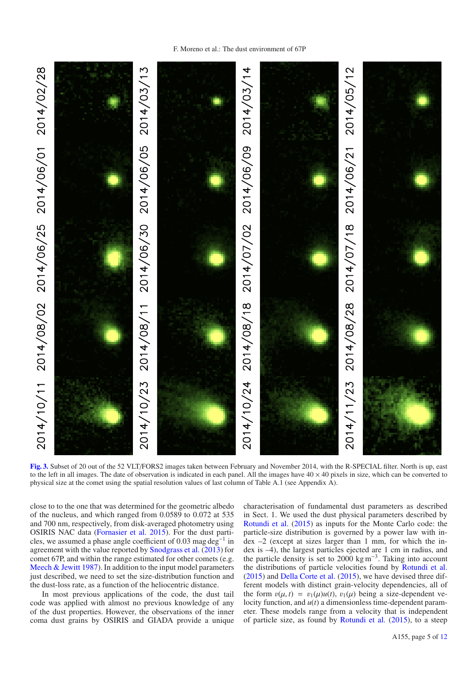

2014/10/23 2014/08/11 2014/06/30 2014/06/05 2014/03/13 2014/08/28 2014/07/18 2014/06/21 2014/05/12 2014/10/24 2014/08/18 2014/07/02 2014/06/09 2014/03/14  $2014/11/23$ 

**[Fig. 3.](http://dexter.edpsciences.org/applet.php?DOI=10.1051/0004-6361/201527564&pdf_id=3)** Subset of 20 out of the 52 VLT/FORS2 images taken between February and November 2014, with the R-SPECIAL filter. North is up, east to the left in all images. The date of observation is indicated in each panel. All the images have  $40 \times 40$  pixels in size, which can be converted to physical size at the comet using the spatial resolution values of last column of Table A.1 (see Appendix A).

close to to the one that was determined for the geometric albedo of the nucleus, and which ranged from 0.0589 to 0.072 at 535 and 700 nm, respectively, from disk-averaged photometry using OSIRIS NAC data (Fornasier et al. 2015). For the dust particles, we assumed a phase angle coefficient of 0.03 mag deg<sup>-1</sup> in agreement with the value reported by Snodgrass et al. (2013) for comet 67P, and within the range estimated for other comets (e.g. Meech & Jewitt 1987). In addition to the input model parameters just described, we need to set the size-distribution function and the dust-loss rate, as a function of the heliocentric distance.

In most previous applications of the code, the dust tail code was applied with almost no previous knowledge of any of the dust properties. However, the observations of the inner coma dust grains by OSIRIS and GIADA provide a unique characterisation of fundamental dust parameters as described in Sect. 1. We used the dust physical parameters described by Rotundi et al. (2015) as inputs for the Monte Carlo code: the particle-size distribution is governed by a power law with index –2 (except at sizes larger than 1 mm, for which the index is –4), the largest particles ejected are 1 cm in radius, and the particle density is set to 2000 kg m<sup>-3</sup>. Taking into account the distributions of particle velocities found by Rotundi et al. (2015) and Della Corte et al. (2015), we have devised three different models with distinct grain-velocity dependencies, all of the form  $v(\mu, t) = v_1(\mu)u(t), v_1(\mu)$  being a size-dependent velocity function, and *u*(*t*) a dimensionless time-dependent parameter. These models range from a velocity that is independent of particle size, as found by Rotundi et al. (2015), to a steep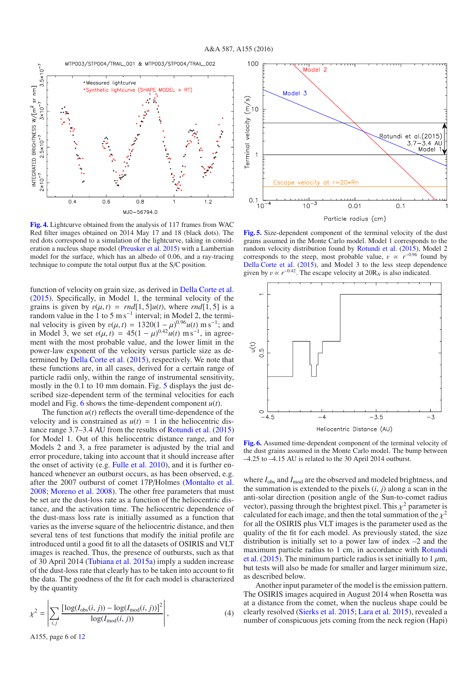

**[Fig. 4.](http://dexter.edpsciences.org/applet.php?DOI=10.1051/0004-6361/201527564&pdf_id=4)** Lightcurve obtained from the analysis of 117 frames from WAC Red filter images obtained on 2014 May 17 and 18 (black dots). The red dots correspond to a simulation of the lightcurve, taking in consideration a nucleus shape model (Preusker et al. 2015) with a Lambertian model for the surface, which has an albedo of 0.06, and a ray-tracing technique to compute the total output flux at the S/C position.

function of velocity on grain size, as derived in Della Corte et al. (2015). Specifically, in Model 1, the terminal velocity of the grains is given by  $v(\mu, t) = rnd[1, 5]u(t)$ , where  $rnd[1, 5]$  is a random value in the 1 to 5 m s<sup> $-1$ </sup> interval; in Model 2, the terminal velocity is given by  $v(\mu, t) = 1320(1 - \mu)^{0.96}u(t)$  m s<sup>-1</sup>; and<br>in Model 3, we set  $v(\mu, t) = 45(1 - \mu)^{0.42}u(t)$  m s<sup>-1</sup> in agreein Model 3, we set  $v(\mu, t) = 45(1 - \mu)^{0.42}u(t)$  ms<sup>-1</sup>, in agree-<br>ment with the most probable value, and the lower limit in the ment with the most probable value, and the lower limit in the power-law exponent of the velocity versus particle size as determined by Della Corte et al. (2015), respectively. We note that these functions are, in all cases, derived for a certain range of particle radii only, within the range of instrumental sensitivity, mostly in the 0.1 to 10 mm domain. Fig. 5 displays the just described size-dependent term of the terminal velocities for each model and Fig. 6 shows the time-dependent component *u*(*t*).

The function  $u(t)$  reflects the overall time-dependence of the velocity and is constrained as  $u(t) = 1$  in the heliocentric distance range 3.7–3.4 AU from the results of Rotundi et al. (2015) for Model 1. Out of this heliocentric distance range, and for Models 2 and 3, a free parameter is adjusted by the trial and error procedure, taking into account that it should increase after the onset of activity (e.g. Fulle et al. 2010), and it is further enhanced whenever an outburst occurs, as has been observed, e.g. after the 2007 outburst of comet 17P/Holmes (Montalto et al. 2008; Moreno et al. 2008). The other free parameters that must be set are the dust-loss rate as a function of the heliocentric distance, and the activation time. The heliocentric dependence of the dust-mass loss rate is initially assumed as a function that varies as the inverse square of the heliocentric distance, and then several tens of test functions that modify the initial profile are introduced until a good fit to all the datasets of OSIRIS and VLT images is reached. Thus, the presence of outbursts, such as that of 30 April 2014 (Tubiana et al. 2015a) imply a sudden increase of the dust-loss rate that clearly has to be taken into account to fit the data. The goodness of the fit for each model is characterized by the quantity

$$
\chi^{2} = \left| \sum_{i,j} \frac{\left[ \log(I_{\text{obs}}(i,j)) - \log(I_{\text{mod}}(i,j)) \right]^{2}}{\log(I_{\text{mod}}(i,j))} \right|,
$$
(4)



**[Fig. 5.](http://dexter.edpsciences.org/applet.php?DOI=10.1051/0004-6361/201527564&pdf_id=5)** Size-dependent component of the terminal velocity of the dust grains assumed in the Monte Carlo model. Model 1 corresponds to the random velocity distribution found by Rotundi et al. (2015), Model 2 corresponds to the steep, most probable value,  $v \propto r^{-0.96}$  found by Della Corte et al. (2015), and Model 3 to the less steep dependence given by  $v \propto r^{-0.42}$ . The escape velocity at  $20R_N$  is also indicated.



**[Fig. 6.](http://dexter.edpsciences.org/applet.php?DOI=10.1051/0004-6361/201527564&pdf_id=6)** Assumed time-dependent component of the terminal velocity of the dust grains assumed in the Monte Carlo model. The bump between –4.25 to –4.15 AU is related to the 30 April 2014 outburst.

where  $I_{obs}$  and  $I_{mod}$  are the observed and modeled brightness, and the summation is extended to the pixels (*i*, *<sup>j</sup>*) along a scan in the anti-solar direction (position angle of the Sun-to-comet radius vector), passing through the brightest pixel. This  $\chi^2$  parameter is calculated for each image, and then the total summation of the  $\chi^2$ for all the OSIRIS plus VLT images is the parameter used as the quality of the fit for each model. As previously stated, the size distribution is initially set to a power law of index –2 and the maximum particle radius to 1 cm, in accordance with Rotundi et al. (2015). The minimum particle radius is set initially to 1  $\mu$ m, but tests will also be made for smaller and larger minimum size, as described below.

Another input parameter of the model is the emission pattern. The OSIRIS images acquired in August 2014 when Rosetta was at a distance from the comet, when the nucleus shape could be clearly resolved (Sierks et al. 2015; Lara et al. 2015), revealed a number of conspicuous jets coming from the neck region (Hapi)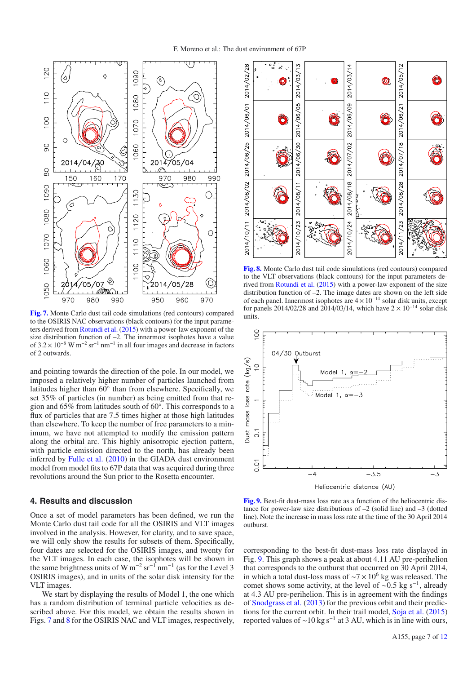

**[Fig. 7.](http://dexter.edpsciences.org/applet.php?DOI=10.1051/0004-6361/201527564&pdf_id=7)** Monte Carlo dust tail code simulations (red contours) compared to the OSIRIS NAC observations (black contours) for the input parameters derived from Rotundi et al. (2015) with a power-law exponent of the size distribution function of –2. The innermost isophotes have a value of  $3.2 \times 10^{-8}$  W m<sup>-2</sup> sr<sup>-1</sup> nm<sup>-1</sup> in all four images and decrease in factors of 2 outwards.

and pointing towards the direction of the pole. In our model, we imposed a relatively higher number of particles launched from latitudes higher than 60◦ than from elsewhere. Specifically, we set 35% of particles (in number) as being emitted from that region and 65% from latitudes south of 60◦. This corresponds to a flux of particles that are 7.5 times higher at those high latitudes than elsewhere. To keep the number of free parameters to a minimum, we have not attempted to modify the emission pattern along the orbital arc. This highly anisotropic ejection pattern, with particle emission directed to the north, has already been inferred by Fulle et al. (2010) in the GIADA dust environment model from model fits to 67P data that was acquired during three revolutions around the Sun prior to the Rosetta encounter.

## **4. Results and discussion**

Once a set of model parameters has been defined, we run the Monte Carlo dust tail code for all the OSIRIS and VLT images involved in the analysis. However, for clarity, and to save space, we will only show the results for subsets of them. Specifically, four dates are selected for the OSIRIS images, and twenty for the VLT images. In each case, the isophotes will be shown in the same brightness units of W m<sup>-2</sup> sr<sup>-1</sup> nm<sup>-1</sup> (as for the Level 3 OSIRIS images), and in units of the solar disk intensity for the VLT images.

We start by displaying the results of Model 1, the one which has a random distribution of terminal particle velocities as described above. For this model, we obtain the results shown in Figs. 7 and 8 for the OSIRIS NAC and VLT images, respectively,



**[Fig. 8.](http://dexter.edpsciences.org/applet.php?DOI=10.1051/0004-6361/201527564&pdf_id=8)** Monte Carlo dust tail code simulations (red contours) compared to the VLT observations (black contours) for the input parameters derived from Rotundi et al. (2015) with a power-law exponent of the size distribution function of –2. The image dates are shown on the left side of each panel. Innermost isophotes are  $4 \times 10^{-14}$  solar disk units, except for panels 2014/02/28 and 2014/03/14, which have  $2 \times 10^{-14}$  solar disk units.



**[Fig. 9.](http://dexter.edpsciences.org/applet.php?DOI=10.1051/0004-6361/201527564&pdf_id=9)** Best-fit dust-mass loss rate as a function of the heliocentric distance for power-law size distributions of  $-2$  (solid line) and  $-3$  (dotted line). Note the increase in mass loss rate at the time of the 30 April 2014 outburst.

corresponding to the best-fit dust-mass loss rate displayed in Fig. 9. This graph shows a peak at about 4.11 AU pre-perihelion that corresponds to the outburst that occurred on 30 April 2014, in which a total dust-loss mass of  $\sim$ 7 × 10<sup>6</sup> kg was released. The comet shows some activity, at the level of ~0.5 kg s<sup>−1</sup>, already at 4.3 AU pre-perihelion. This is in agreement with the findings of Snodgrass et al. (2013) for the previous orbit and their predictions for the current orbit. In their trail model, Soja et al. (2015) reported values of ~10 kg s<sup>-1</sup> at 3 AU, which is in line with ours,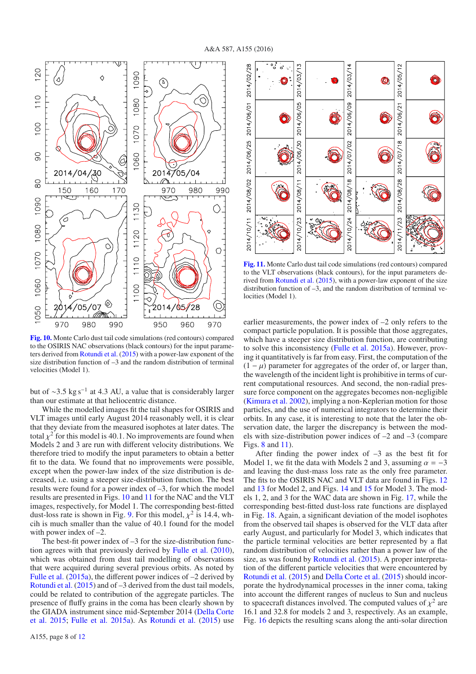

**[Fig. 10.](http://dexter.edpsciences.org/applet.php?DOI=10.1051/0004-6361/201527564&pdf_id=10)** Monte Carlo dust tail code simulations (red contours) compared to the OSIRIS NAC observations (black contours) for the input parameters derived from Rotundi et al. (2015) with a power-law exponent of the size distribution function of –3 and the random distribution of terminal velocities (Model 1).

but of ∼3.5 kg s<sup>-1</sup> at 4.3 AU, a value that is considerably larger than our estimate at that heliocentric distance.

While the modelled images fit the tail shapes for OSIRIS and VLT images until early August 2014 reasonably well, it is clear that they deviate from the measured isophotes at later dates. The total  $\chi^2$  for this model is 40.1. No improvements are found when Models 2 and 3 are run with different velocity distributions. We therefore tried to modify the input parameters to obtain a better fit to the data. We found that no improvements were possible, except when the power-law index of the size distribution is decreased, i.e. using a steeper size-distribution function. The best results were found for a power index of –3, for which the model results are presented in Figs. 10 and 11 for the NAC and the VLT images, respectively, for Model 1. The corresponding best-fitted dust-loss rate is shown in Fig. 9. For this model,  $\chi^2$  is 14.4, whcih is much smaller than the value of 40.1 found for the model with power index of  $-2$ .

The best-fit power index of  $-3$  for the size-distribution function agrees with that previously derived by Fulle et al. (2010), which was obtained from dust tail modelling of observations that were acquired during several previous orbits. As noted by Fulle et al. (2015a), the different power indices of  $-2$  derived by Rotundi et al. (2015) and of –3 derived from the dust tail models, could be related to contribution of the aggregate particles. The presence of fluffy grains in the coma has been clearly shown by the GIADA instrument since mid-September 2014 (Della Corte et al. 2015; Fulle et al. 2015a). As Rotundi et al. (2015) use



**[Fig. 11.](http://dexter.edpsciences.org/applet.php?DOI=10.1051/0004-6361/201527564&pdf_id=11)** Monte Carlo dust tail code simulations (red contours) compared to the VLT observations (black contours), for the input parameters derived from Rotundi et al. (2015), with a power-law exponent of the size distribution function of –3, and the random distribution of terminal velocities (Model 1).

earlier measurements, the power index of –2 only refers to the compact particle population. It is possible that those aggregates, which have a steeper size distribution function, are contributing to solve this inconsistency (Fulle et al. 2015a). However, proving it quantitatively is far from easy. First, the computation of the  $(1 - \mu)$  parameter for aggregates of the order of, or larger than, the wavelength of the incident light is prohibitive in terms of current computational resources. And second, the non-radial pressure force component on the aggregates becomes non-negligible (Kimura et al. 2002), implying a non-Keplerian motion for those particles, and the use of numerical integrators to determine their orbits. In any case, it is interesting to note that the later the observation date, the larger the discrepancy is between the models with size-distribution power indices of  $-2$  and  $-3$  (compare Figs. 8 and 11).

After finding the power index of  $-3$  as the best fit for Model 1, we fit the data with Models 2 and 3, assuming  $\alpha = -3$ and leaving the dust-mass loss rate as the only free parameter. The fits to the OSIRIS NAC and VLT data are found in Figs. 12 and 13 for Model 2, and Figs. 14 and 15 for Model 3. The models 1, 2, and 3 for the WAC data are shown in Fig. 17, while the corresponding best-fitted dust-loss rate functions are displayed in Fig. 18. Again, a significant deviation of the model isophotes from the observed tail shapes is observed for the VLT data after early August, and particularly for Model 3, which indicates that the particle terminal velocities are better represented by a flat random distribution of velocities rather than a power law of the size, as was found by Rotundi et al. (2015). A proper interpretation of the different particle velocities that were encountered by Rotundi et al. (2015) and Della Corte et al. (2015) should incorporate the hydrodynamical processes in the inner coma, taking into account the different ranges of nucleus to Sun and nucleus to spacecraft distances involved. The computed values of  $\chi^2$  are 16.1 and 32.8 for models 2 and 3, respectively. As an example, Fig. 16 depicts the resulting scans along the anti-solar direction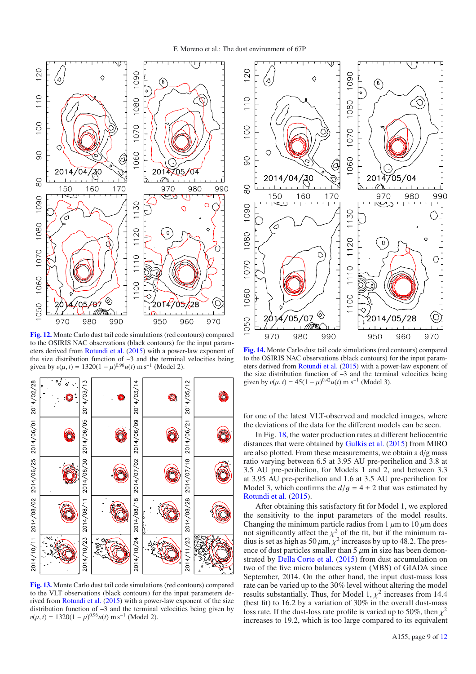

**[Fig. 12.](http://dexter.edpsciences.org/applet.php?DOI=10.1051/0004-6361/201527564&pdf_id=12)** Monte Carlo dust tail code simulations (red contours) compared to the OSIRIS NAC observations (black contours) for the input parameters derived from Rotundi et al. (2015) with a power-law exponent of the size distribution function of  $-3$  and the terminal velocities being given by  $v(\mu, t) = 1320(1 - \mu)^{0.96}u(t) \text{ m s}^{-1}$  (Model 2).



**[Fig. 13.](http://dexter.edpsciences.org/applet.php?DOI=10.1051/0004-6361/201527564&pdf_id=13)** Monte Carlo dust tail code simulations (red contours) compared to the VLT observations (black contours) for the input parameters derived from Rotundi et al. (2015) with a power-law exponent of the size distribution function of  $-3$  and the terminal velocities being given by  $v(\mu, t) = 1320(1 - \mu)^{0.96}u(t) \text{ m s}^{-1} \text{ (Model 2)}.$ 



**[Fig. 14.](http://dexter.edpsciences.org/applet.php?DOI=10.1051/0004-6361/201527564&pdf_id=14)** Monte Carlo dust tail code simulations (red contours) compared to the OSIRIS NAC observations (black contours) for the input parameters derived from Rotundi et al. (2015) with a power-law exponent of the size distribution function of –3 and the terminal velocities being given by  $v(\mu, t) = 45(1 - \mu)^{0.42}u(t)$  m s<sup>-1</sup> (Model 3).

for one of the latest VLT-observed and modeled images, where the deviations of the data for the different models can be seen.

In Fig. 18, the water production rates at different heliocentric distances that were obtained by Gulkis et al. (2015) from MIRO are also plotted. From these measurements, we obtain a d/g mass ratio varying between 6.5 at 3.95 AU pre-perihelion and 3.8 at 3.5 AU pre-perihelion, for Models 1 and 2, and between 3.3 at 3.95 AU pre-perihelion and 1.6 at 3.5 AU pre-perihelion for Model 3, which confirms the  $d/q = 4 \pm 2$  that was estimated by Rotundi et al. (2015).

After obtaining this satisfactory fit for Model 1, we explored the sensitivity to the input parameters of the model results. Changing the minimum particle radius from 1  $\mu$ m to 10  $\mu$ m does not significantly affect the  $v^2$  of the fit but if the minimum ranot significantly affect the  $\chi^2$  of the fit, but if the minimum ra-<br>dius is set as high as 50  $\mu$ m  $\chi^2$  increases by up to 48.2. The presdius is set as high as 50  $\mu$ m,  $\chi^2$  increases by up to 48.2. The pres-<br>ence of dust particles smaller than 5  $\mu$ m in size has been demonence of dust particles smaller than  $5 \mu m$  in size has been demonstrated by Della Corte et al. (2015) from dust accumulation on two of the five micro balances system (MBS) of GIADA since September, 2014. On the other hand, the input dust-mass loss rate can be varied up to the 30% level without altering the model results substantially. Thus, for Model 1,  $\chi^2$  increases from 14.4 (best fit) to 16.2 by a variation of 30% in the overall dust-mass loss rate. If the dust-loss rate profile is varied up to 50%, then  $\chi^2$ increases to 19.2, which is too large compared to its equivalent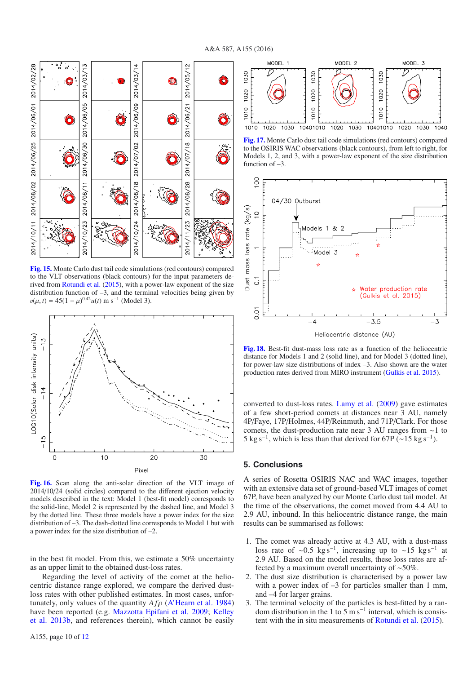

**[Fig. 15.](http://dexter.edpsciences.org/applet.php?DOI=10.1051/0004-6361/201527564&pdf_id=15)** Monte Carlo dust tail code simulations (red contours) compared to the VLT observations (black contours) for the input parameters derived from Rotundi et al. (2015), with a power-law exponent of the size distribution function of  $-3$ , and the terminal velocities being given by  $v(\mu, t) = 45(1 - \mu)^{0.42}u(t) \text{ m s}^{-1} \text{ (Model 3)}.$ 



**[Fig. 16.](http://dexter.edpsciences.org/applet.php?DOI=10.1051/0004-6361/201527564&pdf_id=16)** Scan along the anti-solar direction of the VLT image of 2014/10/24 (solid circles) compared to the different ejection velocity models described in the text: Model 1 (best-fit model) corresponds to the solid-line, Model 2 is represented by the dashed line, and Model 3 by the dotted line. These three models have a power index for the size distribution of –3. The dash-dotted line corresponds to Model 1 but with a power index for the size distribution of –2.

in the best fit model. From this, we estimate a 50% uncertainty as an upper limit to the obtained dust-loss rates.

Regarding the level of activity of the comet at the heliocentric distance range explored, we compare the derived dustloss rates with other published estimates. In most cases, unfortunately, only values of the quantity  $A f \rho$  (A'Hearn et al. 1984) have been reported (e.g. Mazzotta Epifani et al. 2009; Kelley et al. 2013b, and references therein), which cannot be easily



**[Fig. 17.](http://dexter.edpsciences.org/applet.php?DOI=10.1051/0004-6361/201527564&pdf_id=17)** Monte Carlo dust tail code simulations (red contours) compared to the OSIRIS WAC observations (black contours), from left to right, for Models 1, 2, and 3, with a power-law exponent of the size distribution function of –3.



Heliocentric distance (AU)

**[Fig. 18.](http://dexter.edpsciences.org/applet.php?DOI=10.1051/0004-6361/201527564&pdf_id=18)** Best-fit dust-mass loss rate as a function of the heliocentric distance for Models 1 and 2 (solid line), and for Model 3 (dotted line), for power-law size distributions of index –3. Also shown are the water production rates derived from MIRO instrument (Gulkis et al. 2015).

converted to dust-loss rates. Lamy et al. (2009) gave estimates of a few short-period comets at distances near 3 AU, namely 4P/Faye, 17P/Holmes, 44P/Reinmuth, and 71P/Clark. For those comets, the dust-production rate near 3 AU ranges from ∼1 to 5 kg s<sup>-1</sup>, which is less than that derived for 67P (~15 kg s<sup>-1</sup>).

#### **5. Conclusions**

A series of Rosetta OSIRIS NAC and WAC images, together with an extensive data set of ground-based VLT images of comet 67P, have been analyzed by our Monte Carlo dust tail model. At the time of the observations, the comet moved from 4.4 AU to 2.9 AU, inbound. In this heliocentric distance range, the main results can be summarised as follows:

- 1. The comet was already active at 4.3 AU, with a dust-mass loss rate of ∼0.5 kg s<sup>-1</sup>, increasing up to ∼15 kg s<sup>-1</sup> at 2.9 AU. Based on the model results, these loss rates are affected by a maximum overall uncertainty of ∼50%.
- 2. The dust size distribution is characterised by a power law with a power index of  $-3$  for particles smaller than 1 mm, and –4 for larger grains.
- 3. The terminal velocity of the particles is best-fitted by a random distribution in the 1 to  $5 \text{ m s}^{-1}$  interval, which is consistent with the in situ measurements of Rotundi et al. (2015).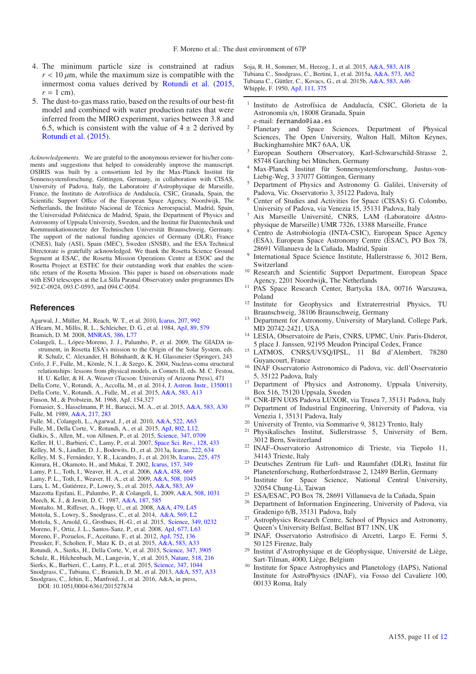- 4. The minimum particle size is constrained at radius  $r < 10 \mu$ m, while the maximum size is compatible with the innermost coma values derived by Rotundi et al. (2015,  $r = 1$  cm).
- 5. The dust-to-gas mass ratio, based on the results of our best-fit model and combined with water production rates that were inferred from the MIRO experiment, varies between 3.8 and 6.5, which is consistent with the value of  $4 \pm 2$  derived by Rotundi et al. (2015).

*Acknowledgements.* We are grateful to the anonymous reviewer for his/her comments and suggestions that helped to considerably improve the manuscript. OSIRIS was built by a consortium led by the Max-Planck Institut für Sonnensystemforschung, Göttingen, Germany, in collaboration with CISAS, University of Padova, Italy, the Laboratoire d'Astrophysique de Marseille, France, the Instituto de Astrofísica de Andalucía, CSIC, Granada, Spain, the Scientific Support Office of the European Space Agency, Noordwijk, The Netherlands, the Instituto Nacional de Técnica Aeroespacial, Madrid, Spain, the Universidad Politécnica de Madrid, Spain, the Department of Physics and Astronomy of Uppsala University, Sweden, and the Institut für Datentechnik und Kommunikationsnetze der Technischen Universität Braunschweig, Germany. The support of the national funding agencies of Germany (DLR), France (CNES), Italy (ASI), Spain (MEC), Sweden (SNSB), and the ESA Technical Directorate is gratefully acknowledged. We thank the Rosetta Science Ground Segment at ESAC, the Rosetta Mission Operations Centre at ESOC and the Rosetta Project at ESTEC for their outstanding work that enables the scientific return of the Rosetta Mission. This paper is based on observations made with ESO telescopes at the La Silla Paranal Observatory under programmes IDs 592.C-0924, 093.C-0593, and 094.C-0054.

#### **References**

- Agarwal, J., Müller, M., Reach, W. T., et al. 2010, [Icarus, 207, 992](http://linker.aanda.org/10.1051/0004-6361/201527564/1)
- A'Hearn, M., Millis, R. L., Schleicher, D. G., et al. 1984, [ApJ, 89, 579](http://linker.aanda.org/10.1051/0004-6361/201527564/2) Bramich, D. M. 2008, [MNRAS, 386, L77](http://linker.aanda.org/10.1051/0004-6361/201527564/3)
- Colangeli, L., López-Moreno, J. J., Palumbo, P., et al. 2009, The GIADA instrument, in Rosetta ESA's mission to the Origin of the Solar System, eds. R. Schulz, C. Alexander, H. Böhnhardt, & K. H. Glassmeier (Springer), 243
- Crifo, J. F., Fulle, M., Kömle, N. I., & Szego, K. 2004, Nucleus-coma structural relationships: lessons from physical models, in Comets II, eds. M. C. Festou,
- H. U. Keller, & H. A. Weaver (Tucson: University of Arizona Press), 471
- Della Corte, V., Rotundi, A., Accolla, M., et al. 2014, [J. Astron. Instr., 1350011](http://linker.aanda.org/10.1051/0004-6361/201527564/6) Della Corte, V., Rotundi, A., Fulle, M., et al. 2015, [A&A, 583, A13](http://linker.aanda.org/10.1051/0004-6361/201527564/7)
- Finson, M., & Probstein, M. 1968, ApJ, 154,327
- Fornasier, S., Hasselmann, P. H., Barucci, M. A., et al. 2015, [A&A, 583, A30](http://linker.aanda.org/10.1051/0004-6361/201527564/9) Fulle, M. 1989, [A&A, 217, 283](http://linker.aanda.org/10.1051/0004-6361/201527564/10)
- Fulle. M., Colangeli, L., Agarwal, J., et al. 2010, [A&A, 522, A63](http://linker.aanda.org/10.1051/0004-6361/201527564/11)
- Fulle, M., Della Corte, V., Rotundi, A., et al. 2015, [ApJ, 802, L12.](http://linker.aanda.org/10.1051/0004-6361/201527564/12)
- Gulkis, S., Allen, M., von Allmen, P., et al. 2015, [Science, 347, 0709](http://linker.aanda.org/10.1051/0004-6361/201527564/13)
- Keller, H. U., Barbieri, C., Lamy, P., et al. 2007, [Space Sci. Rev., 128, 433](http://linker.aanda.org/10.1051/0004-6361/201527564/14)
- Kelley, M. S., Lindler, D. J., Bodewits, D., et al. 2013a, [Icarus, 222, 634](http://linker.aanda.org/10.1051/0004-6361/201527564/15)
- Kelley, M. S., Fernández, Y. R., Licandro, J., et al. 2013b, [Icarus, 225, 475](http://linker.aanda.org/10.1051/0004-6361/201527564/16)
- Kimura, H., Okamoto, H., and Mukai, T. 2002, [Icarus, 157, 349](http://linker.aanda.org/10.1051/0004-6361/201527564/17)
- Lamy, P. L., Toth, I., Weaver, H. A., et al. 2006, [A&A, 458, 669](http://linker.aanda.org/10.1051/0004-6361/201527564/18)
- Lamy, P. L., Toth, I., Weaver, H. A., et al. 2009, [A&A, 508, 1045](http://linker.aanda.org/10.1051/0004-6361/201527564/19)
- Lara, L. M., Gutiérrez, P., Lowry, S., et al. 2015, [A&A, 583, A9](http://linker.aanda.org/10.1051/0004-6361/201527564/20)
- Mazzotta Epifani, E., Palumbo, P., & Colangeli, L. 2009, [A&A, 508, 1031](http://linker.aanda.org/10.1051/0004-6361/201527564/21) Meech, K. J., & Jewitt, D. C. 1987, [A&A, 187, 585](http://linker.aanda.org/10.1051/0004-6361/201527564/22)
- Montalto, M., Riffeser, A., Hopp, U., et al. 2008, [A&A, 479, L45](http://linker.aanda.org/10.1051/0004-6361/201527564/23)
- Mottola, S., Lowry, S., Snodgrass, C., et al. 2014, [A&A, 569, L2](http://linker.aanda.org/10.1051/0004-6361/201527564/24)
- Mottola, S., Arnold, G., Grothues, H.-G., et al. 2015, [Science, 349, 0232](http://linker.aanda.org/10.1051/0004-6361/201527564/25)
- Moreno, F., Ortiz, J. L., Santos-Sanz, P., et al. 2008, [ApJ, 677, L63](http://linker.aanda.org/10.1051/0004-6361/201527564/26)
- Moreno, F., Pozuelos, F., Aceituno, F., et al. 2012, [ApJ, 752, 136](http://linker.aanda.org/10.1051/0004-6361/201527564/27)
- Preusker, F., Scholten, F., Matz K. D., et al. 2015, [A&A, 583, A33](http://linker.aanda.org/10.1051/0004-6361/201527564/28)
- Rotundi, A., Sierks, H., Della Corte, V., et al. 2015, [Science, 347, 3905](http://linker.aanda.org/10.1051/0004-6361/201527564/29)
- Schulz, R., Hilchenbach, M., Langevin, Y., et al. 2015, [Nature, 518, 216](http://linker.aanda.org/10.1051/0004-6361/201527564/30)
- Sierks, K., Barbieri, C., Lamy, P. L., et al. 2015, [Science, 347, 1044](http://linker.aanda.org/10.1051/0004-6361/201527564/31) Snodgrass, C., Tubiana, C., Bramich, D. M., et al. 2013, [A&A, 557, A33](http://linker.aanda.org/10.1051/0004-6361/201527564/32)
- Snodgrass, C., Jehin, E., Manfroid, J., et al. 2016, A&A, in press, DOI: 10.1051/0004-6361/201527834

Soja, R. H., Sommer, M., Herzog, J., et al. 2015, [A&A, 583, A18](http://linker.aanda.org/10.1051/0004-6361/201527564/34) Tubiana C., Snodgrass, C., Bertini, I., et al. 2015a, [A&A, 573, A62](http://linker.aanda.org/10.1051/0004-6361/201527564/35) Tubiana C., Güttler, C., Kovacs, G., et al. 2015b, [A&A, 583, A46](http://linker.aanda.org/10.1051/0004-6361/201527564/36) Whipple, F. 1950, [ApJ, 111, 375](http://linker.aanda.org/10.1051/0004-6361/201527564/37)

- <sup>1</sup> Instituto de Astrofísica de Andalucía, CSIC, Glorieta de la Astronomía s/n, 18008 Granada, Spain e-mail: fernando@iaa.es
- <sup>2</sup> Planetary and Space Sciences, Department of Physical Sciences, The Open University, Walton Hall, Milton Keynes, Buckinghamshire MK7 6AA, UK
- European Southern Observatory, Karl-Schwarschild-Strasse 2, 85748 Garching bei München, Germany
- <sup>4</sup> Max-Planck Institut für Sonnensystemforschung, Justus-von-Liebig-Weg, 3 37077 Göttingen, Germany
- <sup>5</sup> Department of Physics and Astronomy G. Galilei, University of Padova, Vic. Osservatorio 3, 35122 Padova, Italy
- <sup>6</sup> Center of Studies and Activities for Space (CISAS) G. Colombo, University of Padova, via Venezia 15, 35131 Padova, Italy
- <sup>7</sup> Aix Marseille Université, CNRS, LAM (Laboratoire dAstrophysique de Marseille) UMR 7326, 13388 Marseille, France
- Centro de Astrobiologia (INTA-CSIC), European Space Agency (ESA), European Space Astronomy Centre (ESAC), PO Box 78, 28691 Villanueva de la Cañada, Madrid, Spain International Space Science Institute, Hallerstrasse 6, 3012 Bern,
- Switzerland
- <sup>10</sup> Research and Scientific Support Department, European Space Agency, 2201 Noordwijk, The Netherlands
- <sup>11</sup> PAS Space Research Center, Bartycka 18A, 00716 Warszawa, Poland
- <sup>12</sup> Institute for Geophysics and Extraterrestrial Physics, TU Braunschweig, 38106 Braunschweig, Germany
- Department for Astronomy, University of Maryland, College Park, MD 20742-2421, USA
- LESIA, Observatoire de Paris, CNRS, UPMC, Univ. Paris-Diderot, 5 place J. Janssen, 92195 Meudon Principal Cedex, France
- <sup>15</sup> LATMOS, CNRS/UVSQ/IPSL, 11 Bd d'Alembert, 78280 Guyancourt, France
- <sup>16</sup> INAF Osservatorio Astronomico di Padova, vic. dell'Osservatorio 5, 35122 Padova, Italy
- <sup>17</sup> Department of Physics and Astronomy, Uppsala University, Box 516, 75120 Uppsala, Sweden
- <sup>18</sup> CNR-IFN UOS Padova LUXOR, via Trasea 7, 35131 Padova, Italy
- <sup>19</sup> Department of Industrial Engineering, University of Padova, via Venezia 1, 35131 Padova, Italy
- <sup>20</sup> University of Trento, via Sommarive 9, 38123 Trento, Italy<br><sup>21</sup> Physikalisches Institut, Sidlerstrasse 5, University of
- <sup>21</sup> Physikalisches Institut, Sidlerstrasse 5, University of Bern, 3012 Bern, Switzerland
- <sup>22</sup> INAF–Osservatorio Astronomico di Trieste, via Tiepolo 11, 34143 Trieste, Italy
- <sup>23</sup> Deutsches Zentrum für Luft- und Raumfahrt (DLR), Institut für Planetenforschung, Rutherfordstrasse 2, 12489 Berlin, Germany
- <sup>24</sup> Institute for Space Science, National Central University, 32054 Chung-Li, Taiwan<br><sup>25</sup> ESA/ESAC, PO Box 78, 28691 Villanueva de la Cañada, Spain
- 
- <sup>26</sup> Department of Information Engineering, University of Padova, via<br>Gradenigo 6/B, 35131 Padova, Italy
- <sup>27</sup> Astrophysics Research Centre, School of Physics and Astronomy, Queen's University Belfast, Belfast BT7 1NN, UK
- <sup>28</sup> INAF, Osservatorio Astrofisico di Arcetri, Largo E. Fermi 5, 50 125 Firenze, Italy
- <sup>29</sup> Institut d'Astrophysique et de Géophysique, Université de Liège, Sart-Tilman, 4000, Liège, Belgium
- <sup>30</sup> Institute for Space Astrophysics and Planetology (IAPS), National Institute for AstroPhysics (INAF), via Fosso del Cavaliere 100, 00133 Roma, Italy